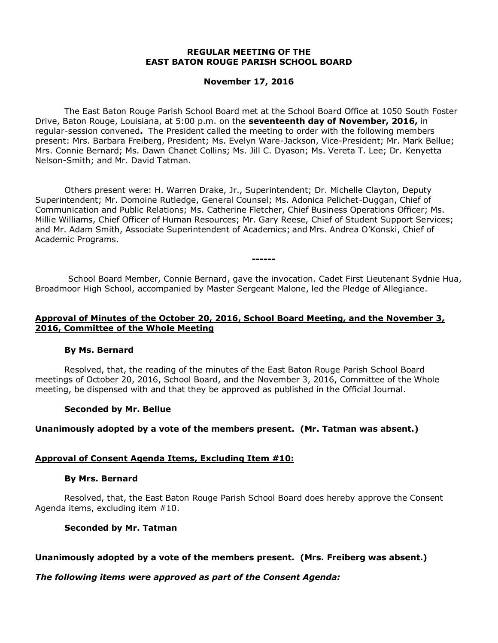#### **REGULAR MEETING OF THE EAST BATON ROUGE PARISH SCHOOL BOARD**

# **November 17, 2016**

The East Baton Rouge Parish School Board met at the School Board Office at 1050 South Foster Drive, Baton Rouge, Louisiana, at 5:00 p.m. on the **seventeenth day of November, 2016,** in regular-session convened**.** The President called the meeting to order with the following members present: Mrs. Barbara Freiberg, President; Ms. Evelyn Ware-Jackson, Vice-President; Mr. Mark Bellue; Mrs. Connie Bernard; Ms. Dawn Chanet Collins; Ms. Jill C. Dyason; Ms. Vereta T. Lee; Dr. Kenyetta Nelson-Smith; and Mr. David Tatman.

Others present were: H. Warren Drake, Jr., Superintendent; Dr. Michelle Clayton, Deputy Superintendent; Mr. Domoine Rutledge, General Counsel; Ms. Adonica Pelichet-Duggan, Chief of Communication and Public Relations; Ms. Catherine Fletcher, Chief Business Operations Officer; Ms. Millie Williams, Chief Officer of Human Resources; Mr. Gary Reese, Chief of Student Support Services; and Mr. Adam Smith, Associate Superintendent of Academics; and Mrs. Andrea O'Konski, Chief of Academic Programs.

School Board Member, Connie Bernard, gave the invocation. Cadet First Lieutenant Sydnie Hua, Broadmoor High School, accompanied by Master Sergeant Malone, led the Pledge of Allegiance.

**------**

# **Approval of Minutes of the October 20, 2016, School Board Meeting, and the November 3, 2016, Committee of the Whole Meeting**

#### **By Ms. Bernard**

Resolved, that, the reading of the minutes of the East Baton Rouge Parish School Board meetings of October 20, 2016, School Board, and the November 3, 2016, Committee of the Whole meeting, be dispensed with and that they be approved as published in the Official Journal.

#### **Seconded by Mr. Bellue**

# **Unanimously adopted by a vote of the members present. (Mr. Tatman was absent.)**

#### **Approval of Consent Agenda Items, Excluding Item #10:**

#### **By Mrs. Bernard**

Resolved, that, the East Baton Rouge Parish School Board does hereby approve the Consent Agenda items, excluding item #10.

#### **Seconded by Mr. Tatman**

#### **Unanimously adopted by a vote of the members present. (Mrs. Freiberg was absent.)**

#### *The following items were approved as part of the Consent Agenda:*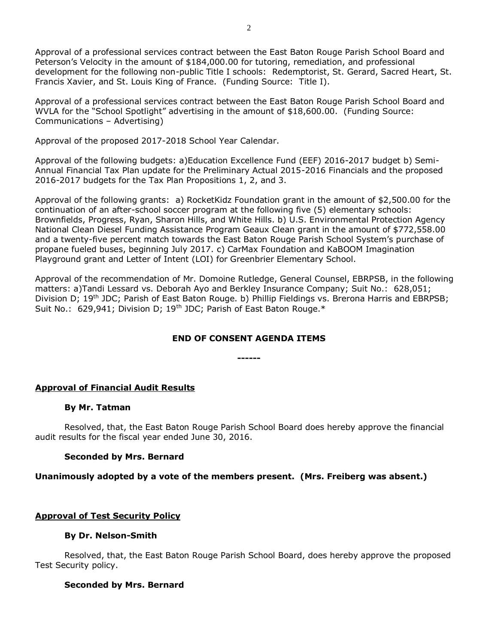Approval of a professional services contract between the East Baton Rouge Parish School Board and Peterson's Velocity in the amount of \$184,000.00 for tutoring, remediation, and professional development for the following non-public Title I schools: Redemptorist, St. Gerard, Sacred Heart, St. Francis Xavier, and St. Louis King of France. (Funding Source: Title I).

Approval of a professional services contract between the East Baton Rouge Parish School Board and WVLA for the "School Spotlight" advertising in the amount of \$18,600.00. (Funding Source: Communications – Advertising)

Approval of the proposed 2017-2018 School Year Calendar.

Approval of the following budgets: a)Education Excellence Fund (EEF) 2016-2017 budget b) Semi-Annual Financial Tax Plan update for the Preliminary Actual 2015-2016 Financials and the proposed 2016-2017 budgets for the Tax Plan Propositions 1, 2, and 3.

Approval of the following grants: a) RocketKidz Foundation grant in the amount of \$2,500.00 for the continuation of an after-school soccer program at the following five (5) elementary schools: Brownfields, Progress, Ryan, Sharon Hills, and White Hills. b) U.S. Environmental Protection Agency National Clean Diesel Funding Assistance Program Geaux Clean grant in the amount of \$772,558.00 and a twenty-five percent match towards the East Baton Rouge Parish School System's purchase of propane fueled buses, beginning July 2017. c) CarMax Foundation and KaBOOM Imagination Playground grant and Letter of Intent (LOI) for Greenbrier Elementary School.

Approval of the recommendation of Mr. Domoine Rutledge, General Counsel, EBRPSB, in the following matters: a)Tandi Lessard vs. Deborah Ayo and Berkley Insurance Company; Suit No.: 628,051; Division D; 19<sup>th</sup> JDC; Parish of East Baton Rouge. b) Phillip Fieldings vs. Brerona Harris and EBRPSB; Suit No.: 629,941; Division D; 19<sup>th</sup> JDC; Parish of East Baton Rouge.\*

# **END OF CONSENT AGENDA ITEMS**

**------**

# **Approval of Financial Audit Results**

#### **By Mr. Tatman**

Resolved, that, the East Baton Rouge Parish School Board does hereby approve the financial audit results for the fiscal year ended June 30, 2016.

# **Seconded by Mrs. Bernard**

# **Unanimously adopted by a vote of the members present. (Mrs. Freiberg was absent.)**

# **Approval of Test Security Policy**

# **By Dr. Nelson-Smith**

Resolved, that, the East Baton Rouge Parish School Board, does hereby approve the proposed Test Security policy.

# **Seconded by Mrs. Bernard**